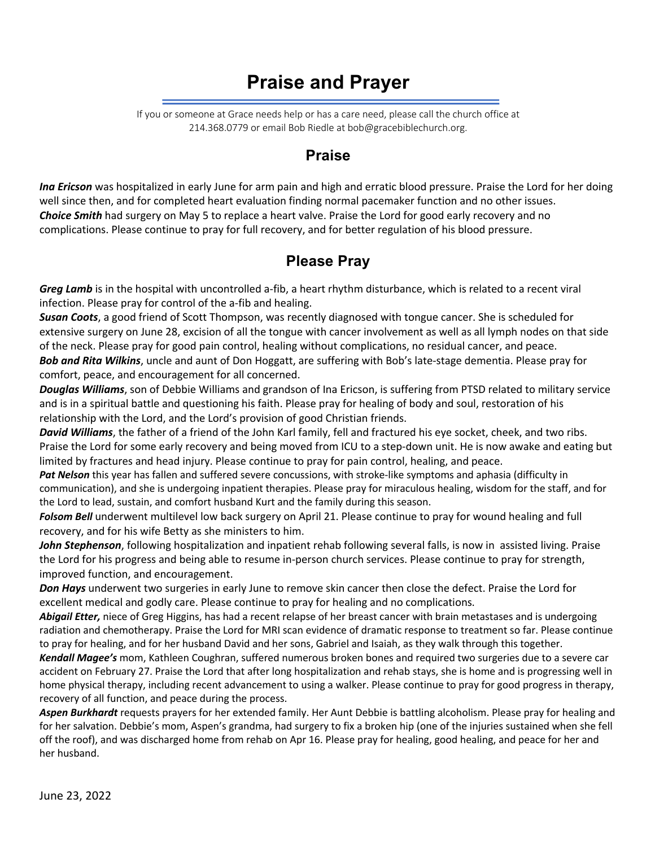# **Praise and Prayer**

If you or someone at Grace needs help or has a care need, please call the church office at 214.368.0779 or email Bob Riedle at bob@gracebiblechurch.org.

### **Praise**

*Ina Ericson* was hospitalized in early June for arm pain and high and erratic blood pressure. Praise the Lord for her doing well since then, and for completed heart evaluation finding normal pacemaker function and no other issues. *Choice Smith* had surgery on May 5 to replace a heart valve. Praise the Lord for good early recovery and no complications. Please continue to pray for full recovery, and for better regulation of his blood pressure.

# **Please Pray**

*Greg Lamb* is in the hospital with uncontrolled a-fib, a heart rhythm disturbance, which is related to a recent viral infection. Please pray for control of the a-fib and healing.

*Susan Coots*, a good friend of Scott Thompson, was recently diagnosed with tongue cancer. She is scheduled for extensive surgery on June 28, excision of all the tongue with cancer involvement as well as all lymph nodes on that side of the neck. Please pray for good pain control, healing without complications, no residual cancer, and peace. *Bob and Rita Wilkins*, uncle and aunt of Don Hoggatt, are suffering with Bob's late-stage dementia. Please pray for comfort, peace, and encouragement for all concerned.

*Douglas Williams*, son of Debbie Williams and grandson of Ina Ericson, is suffering from PTSD related to military service and is in a spiritual battle and questioning his faith. Please pray for healing of body and soul, restoration of his relationship with the Lord, and the Lord's provision of good Christian friends.

*David Williams*, the father of a friend of the John Karl family, fell and fractured his eye socket, cheek, and two ribs. Praise the Lord for some early recovery and being moved from ICU to a step-down unit. He is now awake and eating but limited by fractures and head injury. Please continue to pray for pain control, healing, and peace.

*Pat Nelson* this year has fallen and suffered severe concussions, with stroke-like symptoms and aphasia (difficulty in communication), and she is undergoing inpatient therapies. Please pray for miraculous healing, wisdom for the staff, and for the Lord to lead, sustain, and comfort husband Kurt and the family during this season.

*Folsom Bell* underwent multilevel low back surgery on April 21. Please continue to pray for wound healing and full recovery, and for his wife Betty as she ministers to him.

*John Stephenson*, following hospitalization and inpatient rehab following several falls, is now in assisted living. Praise the Lord for his progress and being able to resume in-person church services. Please continue to pray for strength, improved function, and encouragement.

*Don Hays* underwent two surgeries in early June to remove skin cancer then close the defect. Praise the Lord for excellent medical and godly care. Please continue to pray for healing and no complications.

*Abigail Etter,* niece of Greg Higgins, has had a recent relapse of her breast cancer with brain metastases and is undergoing radiation and chemotherapy. Praise the Lord for MRI scan evidence of dramatic response to treatment so far. Please continue to pray for healing, and for her husband David and her sons, Gabriel and Isaiah, as they walk through this together.

*Kendall Magee's* mom, Kathleen Coughran, suffered numerous broken bones and required two surgeries due to a severe car accident on February 27. Praise the Lord that after long hospitalization and rehab stays, she is home and is progressing well in home physical therapy, including recent advancement to using a walker. Please continue to pray for good progress in therapy, recovery of all function, and peace during the process.

*Aspen Burkhardt* requests prayers for her extended family. Her Aunt Debbie is battling alcoholism. Please pray for healing and for her salvation. Debbie's mom, Aspen's grandma, had surgery to fix a broken hip (one of the injuries sustained when she fell off the roof), and was discharged home from rehab on Apr 16. Please pray for healing, good healing, and peace for her and her husband.